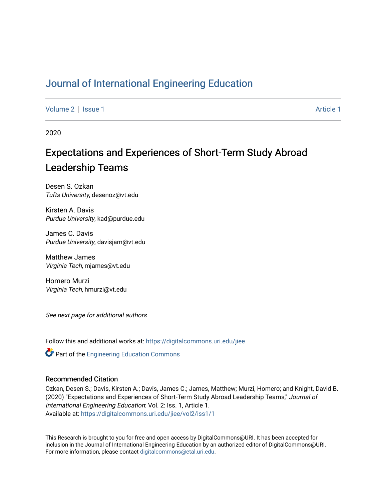# [Journal of International Engineering Education](https://digitalcommons.uri.edu/jiee)

[Volume 2](https://digitalcommons.uri.edu/jiee/vol2) | [Issue 1](https://digitalcommons.uri.edu/jiee/vol2/iss1) Article 1

2020

# Expectations and Experiences of Short-Term Study Abroad Leadership Teams

Desen S. Ozkan Tufts University, desenoz@vt.edu

Kirsten A. Davis Purdue University, kad@purdue.edu

James C. Davis Purdue University, davisjam@vt.edu

Matthew James Virginia Tech, mjames@vt.edu

Homero Murzi Virginia Tech, hmurzi@vt.edu

See next page for additional authors

Follow this and additional works at: [https://digitalcommons.uri.edu/jiee](https://digitalcommons.uri.edu/jiee?utm_source=digitalcommons.uri.edu%2Fjiee%2Fvol2%2Fiss1%2F1&utm_medium=PDF&utm_campaign=PDFCoverPages) 

**Part of the Engineering Education Commons** 

#### Recommended Citation

Ozkan, Desen S.; Davis, Kirsten A.; Davis, James C.; James, Matthew; Murzi, Homero; and Knight, David B. (2020) "Expectations and Experiences of Short-Term Study Abroad Leadership Teams," Journal of International Engineering Education: Vol. 2: Iss. 1, Article 1. Available at: [https://digitalcommons.uri.edu/jiee/vol2/iss1/1](https://digitalcommons.uri.edu/jiee/vol2/iss1/1?utm_source=digitalcommons.uri.edu%2Fjiee%2Fvol2%2Fiss1%2F1&utm_medium=PDF&utm_campaign=PDFCoverPages)

This Research is brought to you for free and open access by DigitalCommons@URI. It has been accepted for inclusion in the Journal of International Engineering Education by an authorized editor of DigitalCommons@URI. For more information, please contact [digitalcommons@etal.uri.edu](mailto:digitalcommons@etal.uri.edu).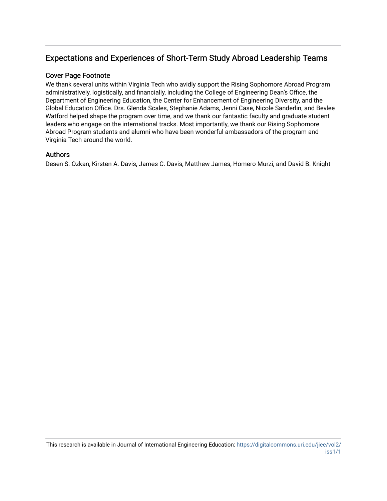# Expectations and Experiences of Short-Term Study Abroad Leadership Teams

#### Cover Page Footnote

We thank several units within Virginia Tech who avidly support the Rising Sophomore Abroad Program administratively, logistically, and financially, including the College of Engineering Dean's Office, the Department of Engineering Education, the Center for Enhancement of Engineering Diversity, and the Global Education Office. Drs. Glenda Scales, Stephanie Adams, Jenni Case, Nicole Sanderlin, and Bevlee Watford helped shape the program over time, and we thank our fantastic faculty and graduate student leaders who engage on the international tracks. Most importantly, we thank our Rising Sophomore Abroad Program students and alumni who have been wonderful ambassadors of the program and Virginia Tech around the world.

#### Authors

Desen S. Ozkan, Kirsten A. Davis, James C. Davis, Matthew James, Homero Murzi, and David B. Knight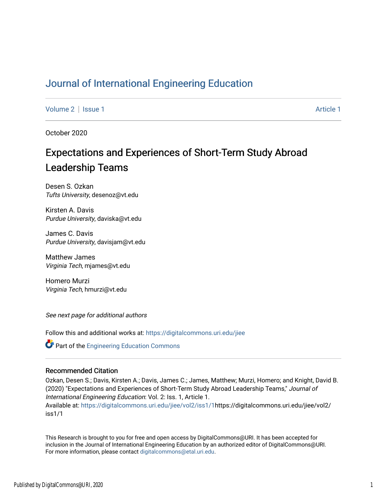# Journal of International Engineering Education

Volume 2 | Issue 1 Article 1

October 2020

# Expectations and Experiences of Short-Term Study Abroad Leadership Teams

Desen S. Ozkan Tufts University, desenoz@vt.edu

Kirsten A. Davis Purdue University, daviska@vt.edu

James C. Davis Purdue University, davisjam@vt.edu

Matthew James Virginia Tech, mjames@vt.edu

Homero Murzi Virginia Tech, hmurzi@vt.edu

See next page for additional authors

Follow this and additional works at: https://digitalcommons.uri.edu/jiee

Part of the Engineering Education Commons

#### Recommended Citation

Ozkan, Desen S.; Davis, Kirsten A.; Davis, James C.; James, Matthew; Murzi, Homero; and Knight, David B. (2020) "Expectations and Experiences of Short-Term Study Abroad Leadership Teams," Journal of International Engineering Education: Vol. 2: Iss. 1, Article 1. Available at: https://digitalcommons.uri.edu/jiee/vol2/iss1/1https://digitalcommons.uri.edu/jiee/vol2/ iss1/1

This Research is brought to you for free and open access by DigitalCommons@URI. It has been accepted for inclusion in the Journal of International Engineering Education by an authorized editor of DigitalCommons@URI. For more information, please contact digitalcommons@etal.uri.edu.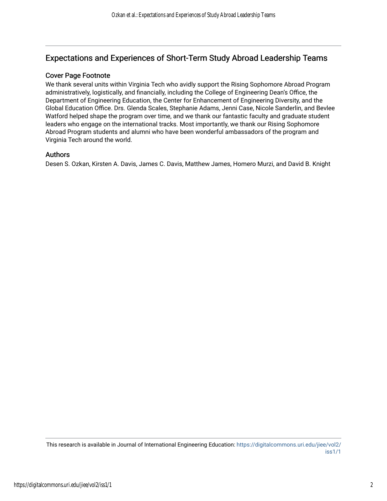# Expectations and Experiences of Short-Term Study Abroad Leadership Teams

#### Cover Page Footnote

We thank several units within Virginia Tech who avidly support the Rising Sophomore Abroad Program administratively, logistically, and financially, including the College of Engineering Dean's Office, the Department of Engineering Education, the Center for Enhancement of Engineering Diversity, and the Global Education Office. Drs. Glenda Scales, Stephanie Adams, Jenni Case, Nicole Sanderlin, and Bevlee Watford helped shape the program over time, and we thank our fantastic faculty and graduate student leaders who engage on the international tracks. Most importantly, we thank our Rising Sophomore Abroad Program students and alumni who have been wonderful ambassadors of the program and Virginia Tech around the world.

#### Authors

Desen S. Ozkan, Kirsten A. Davis, James C. Davis, Matthew James, Homero Murzi, and David B. Knight

This research is available in Journal of International Engineering Education: https://digitalcommons.uri.edu/jiee/vol2/ iss1/1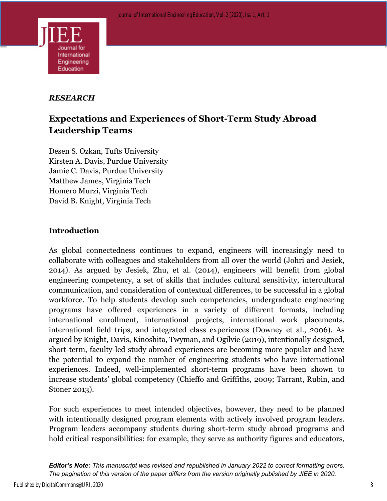

# *RESEARCH*

# **Expectations and Experiences of Short-Term Study Abroad Leadership Teams**

Desen S. Ozkan, Tufts University Kirsten A. Davis, Purdue University Jamie C. Davis, Purdue University Matthew James, Virginia Tech Homero Murzi, Virginia Tech David B. Knight, Virginia Tech

### **Introduction**

As global connectedness continues to expand, engineers will increasingly need to collaborate with colleagues and stakeholders from all over the world (Johri and Jesiek, 2014). As argued by Jesiek, Zhu, et al. (2014), engineers will benefit from global engineering competency, a set of skills that includes cultural sensitivity, intercultural communication, and consideration of contextual differences, to be successful in a global workforce. To help students develop such competencies, undergraduate engineering programs have offered experiences in a variety of different formats, including international enrollment, international projects, international work placements, international field trips, and integrated class experiences (Downey et al., 2006). As argued by Knight, Davis, Kinoshita, Twyman, and Ogilvie (2019), intentionally designed, short-term, faculty-led study abroad experiences are becoming more popular and have the potential to expand the number of engineering students who have international experiences. Indeed, well-implemented short-term programs have been shown to increase students' global competency (Chieffo and Griffiths, 2009; Tarrant, Rubin, and Stoner 2013).

For such experiences to meet intended objectives, however, they need to be planned with intentionally designed program elements with actively involved program leaders. Program leaders accompany students during short-term study abroad programs and hold critical responsibilities: for example, they serve as authority figures and educators,

*Editor's Note: This manuscript was revised and republished in January 2022 to correct formatting errors. The pagination of this version of the paper differs from the version originally published by JIEE in 2020.*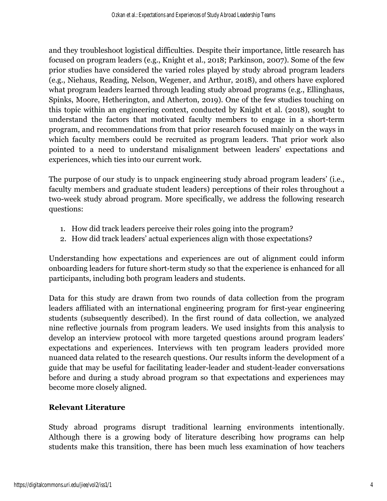and they troubleshoot logistical difficulties. Despite their importance, little research has focused on program leaders (e.g., Knight et al., 2018; Parkinson, 2007). Some of the few prior studies have considered the varied roles played by study abroad program leaders (e.g., Niehaus, Reading, Nelson, Wegener, and Arthur, 2018), and others have explored what program leaders learned through leading study abroad programs (e.g., Ellinghaus, Spinks, Moore, Hetherington, and Atherton, 2019). One of the few studies touching on this topic within an engineering context, conducted by Knight et al. (2018), sought to understand the factors that motivated faculty members to engage in a short-term program, and recommendations from that prior research focused mainly on the ways in which faculty members could be recruited as program leaders. That prior work also pointed to a need to understand misalignment between leaders' expectations and experiences, which ties into our current work.

The purpose of our study is to unpack engineering study abroad program leaders' (i.e., faculty members and graduate student leaders) perceptions of their roles throughout a two-week study abroad program. More specifically, we address the following research questions:

- 1. How did track leaders perceive their roles going into the program?
- 2. How did track leaders' actual experiences align with those expectations?

Understanding how expectations and experiences are out of alignment could inform onboarding leaders for future short-term study so that the experience is enhanced for all participants, including both program leaders and students.

Data for this study are drawn from two rounds of data collection from the program leaders affiliated with an international engineering program for first-year engineering students (subsequently described). In the first round of data collection, we analyzed nine reflective journals from program leaders. We used insights from this analysis to develop an interview protocol with more targeted questions around program leaders' expectations and experiences. Interviews with ten program leaders provided more nuanced data related to the research questions. Our results inform the development of a guide that may be useful for facilitating leader-leader and student-leader conversations before and during a study abroad program so that expectations and experiences may become more closely aligned.

# **Relevant Literature**

Study abroad programs disrupt traditional learning environments intentionally. Although there is a growing body of literature describing how programs can help students make this transition, there has been much less examination of how teachers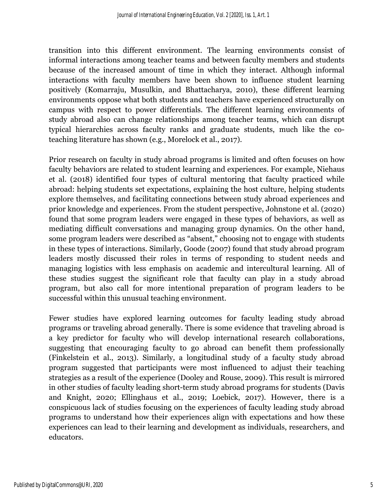transition into this different environment. The learning environments consist of informal interactions among teacher teams and between faculty members and students because of the increased amount of time in which they interact. Although informal interactions with faculty members have been shown to influence student learning positively (Komarraju, Musulkin, and Bhattacharya, 2010), these different learning environments oppose what both students and teachers have experienced structurally on campus with respect to power differentials. The different learning environments of study abroad also can change relationships among teacher teams, which can disrupt typical hierarchies across faculty ranks and graduate students, much like the coteaching literature has shown (e.g., Morelock et al., 2017).

Prior research on faculty in study abroad programs is limited and often focuses on how faculty behaviors are related to student learning and experiences. For example, Niehaus et al. (2018) identified four types of cultural mentoring that faculty practiced while abroad: helping students set expectations, explaining the host culture, helping students explore themselves, and facilitating connections between study abroad experiences and prior knowledge and experiences. From the student perspective, Johnstone et al. (2020) found that some program leaders were engaged in these types of behaviors, as well as mediating difficult conversations and managing group dynamics. On the other hand, some program leaders were described as "absent," choosing not to engage with students in these types of interactions. Similarly, Goode (2007) found that study abroad program leaders mostly discussed their roles in terms of responding to student needs and managing logistics with less emphasis on academic and intercultural learning. All of these studies suggest the significant role that faculty can play in a study abroad program, but also call for more intentional preparation of program leaders to be successful within this unusual teaching environment.

Fewer studies have explored learning outcomes for faculty leading study abroad programs or traveling abroad generally. There is some evidence that traveling abroad is a key predictor for faculty who will develop international research collaborations, suggesting that encouraging faculty to go abroad can benefit them professionally (Finkelstein et al., 2013). Similarly, a longitudinal study of a faculty study abroad program suggested that participants were most influenced to adjust their teaching strategies as a result of the experience (Dooley and Rouse, 2009). This result is mirrored in other studies of faculty leading short-term study abroad programs for students (Davis and Knight, 2020; Ellinghaus et al., 2019; Loebick, 2017). However, there is a conspicuous lack of studies focusing on the experiences of faculty leading study abroad programs to understand how their experiences align with expectations and how these experiences can lead to their learning and development as individuals, researchers, and educators.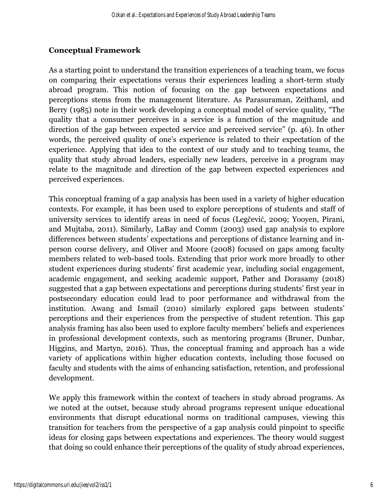## **Conceptual Framework**

As a starting point to understand the transition experiences of a teaching team, we focus on comparing their expectations versus their experiences leading a short-term study abroad program. This notion of focusing on the gap between expectations and perceptions stems from the management literature. As Parasuraman, Zeithaml, and Berry (1985) note in their work developing a conceptual model of service quality, "The quality that a consumer perceives in a service is a function of the magnitude and direction of the gap between expected service and perceived service" (p. 46). In other words, the perceived quality of one's experience is related to their expectation of the experience. Applying that idea to the context of our study and to teaching teams, the quality that study abroad leaders, especially new leaders, perceive in a program may relate to the magnitude and direction of the gap between expected experiences and perceived experiences.

This conceptual framing of a gap analysis has been used in a variety of higher education contexts. For example, it has been used to explore perceptions of students and staff of university services to identify areas in need of focus (Legčević, 2009; Yooyen, Pirani, and Mujtaba, 2011). Similarly, LaBay and Comm (2003) used gap analysis to explore differences between students' expectations and perceptions of distance learning and inperson course delivery, and Oliver and Moore (2008) focused on gaps among faculty members related to web-based tools. Extending that prior work more broadly to other student experiences during students' first academic year, including social engagement, academic engagement, and seeking academic support, Pather and Dorasamy (2018) suggested that a gap between expectations and perceptions during students' first year in postsecondary education could lead to poor performance and withdrawal from the institution. Awang and Ismail (2010) similarly explored gaps between students' perceptions and their experiences from the perspective of student retention. This gap analysis framing has also been used to explore faculty members' beliefs and experiences in professional development contexts, such as mentoring programs (Bruner, Dunbar, Higgins, and Martyn, 2016). Thus, the conceptual framing and approach has a wide variety of applications within higher education contexts, including those focused on faculty and students with the aims of enhancing satisfaction, retention, and professional development.

We apply this framework within the context of teachers in study abroad programs. As we noted at the outset, because study abroad programs represent unique educational environments that disrupt educational norms on traditional campuses, viewing this transition for teachers from the perspective of a gap analysis could pinpoint to specific ideas for closing gaps between expectations and experiences. The theory would suggest that doing so could enhance their perceptions of the quality of study abroad experiences,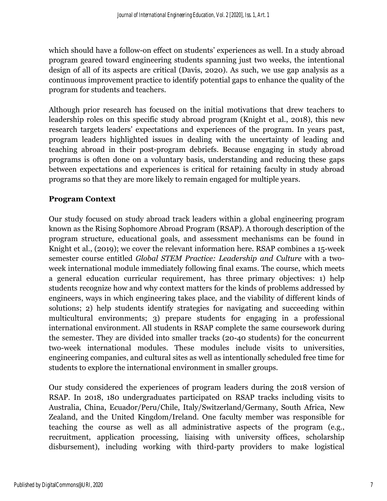which should have a follow-on effect on students' experiences as well. In a study abroad program geared toward engineering students spanning just two weeks, the intentional design of all of its aspects are critical (Davis, 2020). As such, we use gap analysis as a continuous improvement practice to identify potential gaps to enhance the quality of the program for students and teachers.

Although prior research has focused on the initial motivations that drew teachers to leadership roles on this specific study abroad program (Knight et al., 2018), this new research targets leaders' expectations and experiences of the program. In years past, program leaders highlighted issues in dealing with the uncertainty of leading and teaching abroad in their post-program debriefs. Because engaging in study abroad programs is often done on a voluntary basis, understanding and reducing these gaps between expectations and experiences is critical for retaining faculty in study abroad programs so that they are more likely to remain engaged for multiple years.

#### **Program Context**

Our study focused on study abroad track leaders within a global engineering program known as the Rising Sophomore Abroad Program (RSAP). A thorough description of the program structure, educational goals, and assessment mechanisms can be found in Knight et al., (2019); we cover the relevant information here. RSAP combines a 15-week semester course entitled *Global STEM Practice: Leadership and Culture* with a twoweek international module immediately following final exams. The course, which meets a general education curricular requirement, has three primary objectives: 1) help students recognize how and why context matters for the kinds of problems addressed by engineers, ways in which engineering takes place, and the viability of different kinds of solutions; 2) help students identify strategies for navigating and succeeding within multicultural environments; 3) prepare students for engaging in a professional international environment. All students in RSAP complete the same coursework during the semester. They are divided into smaller tracks (20-40 students) for the concurrent two-week international modules. These modules include visits to universities, engineering companies, and cultural sites as well as intentionally scheduled free time for students to explore the international environment in smaller groups.

Our study considered the experiences of program leaders during the 2018 version of RSAP. In 2018, 180 undergraduates participated on RSAP tracks including visits to Australia, China, Ecuador/Peru/Chile, Italy/Switzerland/Germany, South Africa, New Zealand, and the United Kingdom/Ireland. One faculty member was responsible for teaching the course as well as all administrative aspects of the program (e.g., recruitment, application processing, liaising with university offices, scholarship disbursement), including working with third-party providers to make logistical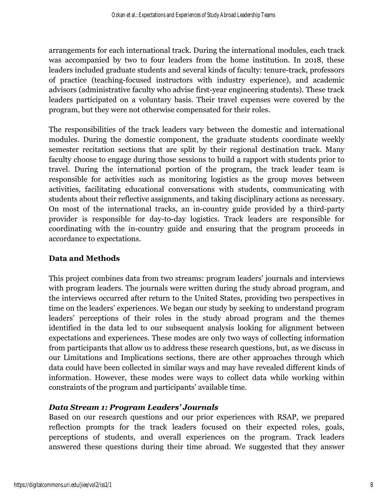arrangements for each international track. During the international modules, each track was accompanied by two to four leaders from the home institution. In 2018, these leaders included graduate students and several kinds of faculty: tenure-track, professors of practice (teaching-focused instructors with industry experience), and academic advisors (administrative faculty who advise first-year engineering students). These track leaders participated on a voluntary basis. Their travel expenses were covered by the program, but they were not otherwise compensated for their roles.

The responsibilities of the track leaders vary between the domestic and international modules. During the domestic component, the graduate students coordinate weekly semester recitation sections that are split by their regional destination track. Many faculty choose to engage during those sessions to build a rapport with students prior to travel. During the international portion of the program, the track leader team is responsible for activities such as monitoring logistics as the group moves between activities, facilitating educational conversations with students, communicating with students about their reflective assignments, and taking disciplinary actions as necessary. On most of the international tracks, an in-country guide provided by a third-party provider is responsible for day-to-day logistics. Track leaders are responsible for coordinating with the in-country guide and ensuring that the program proceeds in accordance to expectations.

### **Data and Methods**

This project combines data from two streams: program leaders' journals and interviews with program leaders. The journals were written during the study abroad program, and the interviews occurred after return to the United States, providing two perspectives in time on the leaders' experiences. We began our study by seeking to understand program leaders' perceptions of their roles in the study abroad program and the themes identified in the data led to our subsequent analysis looking for alignment between expectations and experiences. These modes are only two ways of collecting information from participants that allow us to address these research questions, but, as we discuss in our Limitations and Implications sections, there are other approaches through which data could have been collected in similar ways and may have revealed different kinds of information. However, these modes were ways to collect data while working within constraints of the program and participants' available time.

# *Data Stream 1: Program Leaders' Journals*

Based on our research questions and our prior experiences with RSAP, we prepared reflection prompts for the track leaders focused on their expected roles, goals, perceptions of students, and overall experiences on the program. Track leaders answered these questions during their time abroad. We suggested that they answer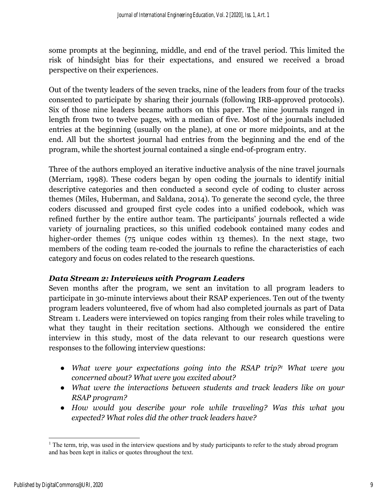some prompts at the beginning, middle, and end of the travel period. This limited the risk of hindsight bias for their expectations, and ensured we received a broad perspective on their experiences.

Out of the twenty leaders of the seven tracks, nine of the leaders from four of the tracks consented to participate by sharing their journals (following IRB-approved protocols). Six of those nine leaders became authors on this paper. The nine journals ranged in length from two to twelve pages, with a median of five. Most of the journals included entries at the beginning (usually on the plane), at one or more midpoints, and at the end. All but the shortest journal had entries from the beginning and the end of the program, while the shortest journal contained a single end-of-program entry.

Three of the authors employed an iterative inductive analysis of the nine travel journals (Merriam, 1998). These coders began by open coding the journals to identify initial descriptive categories and then conducted a second cycle of coding to cluster across themes (Miles, Huberman, and Saldana, 2014). To generate the second cycle, the three coders discussed and grouped first cycle codes into a unified codebook, which was refined further by the entire author team. The participants' journals reflected a wide variety of journaling practices, so this unified codebook contained many codes and higher-order themes (75 unique codes within 13 themes). In the next stage, two members of the coding team re-coded the journals to refine the characteristics of each category and focus on codes related to the research questions.

### *Data Stream 2: Interviews with Program Leaders*

Seven months after the program, we sent an invitation to all program leaders to participate in 30-minute interviews about their RSAP experiences. Ten out of the twenty program leaders volunteered, five of whom had also completed journals as part of Data Stream 1. Leaders were interviewed on topics ranging from their roles while traveling to what they taught in their recitation sections. Although we considered the entire interview in this study, most of the data relevant to our research questions were responses to the following interview questions:

- *What were your expectations going into the RSAP trip?1 What were you concerned about? What were you excited about?*
- *What were the interactions between students and track leaders like on your RSAP program?*
- *How would you describe your role while traveling? Was this what you expected? What roles did the other track leaders have?*

<sup>&</sup>lt;sup>1</sup> The term, trip, was used in the interview questions and by study participants to refer to the study abroad program and has been kept in italics or quotes throughout the text.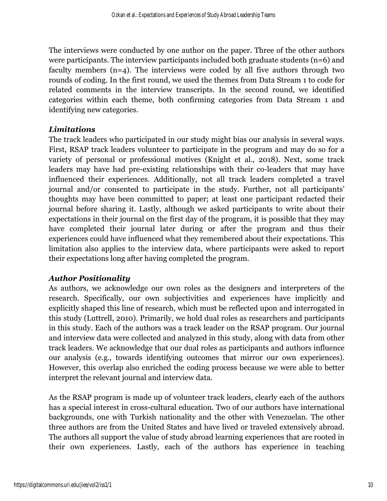The interviews were conducted by one author on the paper. Three of the other authors were participants. The interview participants included both graduate students (n=6) and faculty members  $(n=4)$ . The interviews were coded by all five authors through two rounds of coding. In the first round, we used the themes from Data Stream 1 to code for related comments in the interview transcripts. In the second round, we identified categories within each theme, both confirming categories from Data Stream 1 and identifying new categories.

### *Limitations*

The track leaders who participated in our study might bias our analysis in several ways. First, RSAP track leaders volunteer to participate in the program and may do so for a variety of personal or professional motives (Knight et al., 2018). Next, some track leaders may have had pre-existing relationships with their co-leaders that may have influenced their experiences. Additionally, not all track leaders completed a travel journal and/or consented to participate in the study. Further, not all participants' thoughts may have been committed to paper; at least one participant redacted their journal before sharing it. Lastly, although we asked participants to write about their expectations in their journal on the first day of the program, it is possible that they may have completed their journal later during or after the program and thus their experiences could have influenced what they remembered about their expectations. This limitation also applies to the interview data, where participants were asked to report their expectations long after having completed the program.

# *Author Positionality*

As authors, we acknowledge our own roles as the designers and interpreters of the research. Specifically, our own subjectivities and experiences have implicitly and explicitly shaped this line of research, which must be reflected upon and interrogated in this study (Luttrell, 2010). Primarily, we hold dual roles as researchers and participants in this study. Each of the authors was a track leader on the RSAP program. Our journal and interview data were collected and analyzed in this study, along with data from other track leaders. We acknowledge that our dual roles as participants and authors influence our analysis (e.g., towards identifying outcomes that mirror our own experiences). However, this overlap also enriched the coding process because we were able to better interpret the relevant journal and interview data.

As the RSAP program is made up of volunteer track leaders, clearly each of the authors has a special interest in cross-cultural education. Two of our authors have international backgrounds, one with Turkish nationality and the other with Venezuelan. The other three authors are from the United States and have lived or traveled extensively abroad. The authors all support the value of study abroad learning experiences that are rooted in their own experiences. Lastly, each of the authors has experience in teaching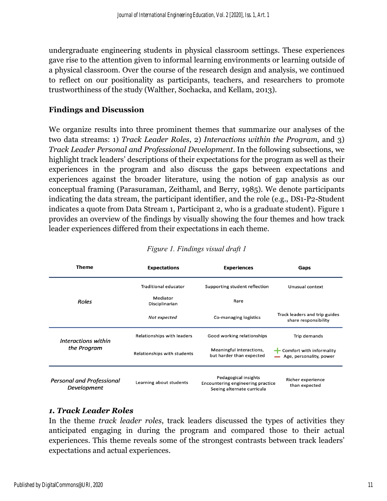undergraduate engineering students in physical classroom settings. These experiences gave rise to the attention given to informal learning environments or learning outside of a physical classroom. Over the course of the research design and analysis, we continued to reflect on our positionality as participants, teachers, and researchers to promote trustworthiness of the study (Walther, Sochacka, and Kellam, 2013).

#### **Findings and Discussion**

We organize results into three prominent themes that summarize our analyses of the two data streams: 1) *Track Leader Roles*, 2) *Interactions within the Program*, and 3) *Track Leader Personal and Professional Development*. In the following subsections, we highlight track leaders' descriptions of their expectations for the program as well as their experiences in the program and also discuss the gaps between expectations and experiences against the broader literature, using the notion of gap analysis as our conceptual framing (Parasuraman, Zeithaml, and Berry, 1985). We denote participants indicating the data stream, the participant identifier, and the role (e.g., DS1-P2-Student indicates a quote from Data Stream 1, Participant 2, who is a graduate student). Figure 1 provides an overview of the findings by visually showing the four themes and how track leader experiences differed from their expectations in each theme.

| Theme                                           | <b>Expectations</b>         | <b>Experiences</b>                                                                      | Gaps                                                             |
|-------------------------------------------------|-----------------------------|-----------------------------------------------------------------------------------------|------------------------------------------------------------------|
| <b>Roles</b>                                    | <b>Traditional educator</b> | Supporting student reflection                                                           | Unusual context                                                  |
|                                                 | Mediator<br>Disciplinarian  | Rare                                                                                    |                                                                  |
|                                                 | Not expected                | Co-managing logistics                                                                   | Track leaders and trip guides<br>share responsibility            |
| Interactions within<br>the Program              | Relationships with leaders  | Good working relationships                                                              | Trip demands                                                     |
|                                                 | Relationships with students | Meaningful interactions,<br>but harder than expected                                    | $\leftarrow$ Comfort with informality<br>Age, personality, power |
| <b>Personal and Professional</b><br>Development | Learning about students     | Pedagogical insights<br>Encountering engineering practice<br>Seeing alternate curricula | Richer experience<br>than expected                               |

#### *Figure 1. Findings visual draft 1*

#### *1. Track Leader Roles*

In the theme *track leader roles*, track leaders discussed the types of activities they anticipated engaging in during the program and compared those to their actual experiences. This theme reveals some of the strongest contrasts between track leaders' expectations and actual experiences.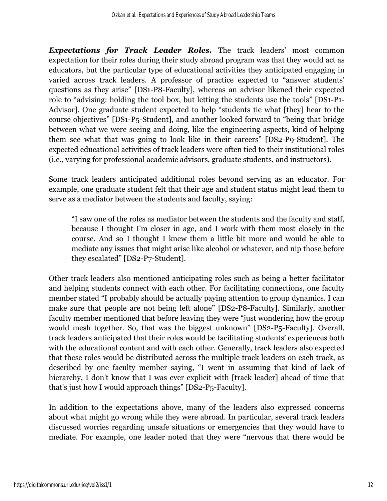*Expectations for Track Leader Roles.* The track leaders' most common expectation for their roles during their study abroad program was that they would act as educators, but the particular type of educational activities they anticipated engaging in varied across track leaders. A professor of practice expected to "answer students' questions as they arise" [DS1-P8-Faculty], whereas an advisor likened their expected role to "advising: holding the tool box, but letting the students use the tools" [DS1-P1- Advisor]. One graduate student expected to help "students tie what [they] hear to the course objectives" [DS1-P5-Student], and another looked forward to "being that bridge between what we were seeing and doing, like the engineering aspects, kind of helping them see what that was going to look like in their careers" [DS2-P9-Student]. The expected educational activities of track leaders were often tied to their institutional roles (i.e., varying for professional academic advisors, graduate students, and instructors).

Some track leaders anticipated additional roles beyond serving as an educator. For example, one graduate student felt that their age and student status might lead them to serve as a mediator between the students and faculty, saying:

"I saw one of the roles as mediator between the students and the faculty and staff, because I thought I'm closer in age, and I work with them most closely in the course. And so I thought I knew them a little bit more and would be able to mediate any issues that might arise like alcohol or whatever, and nip those before they escalated" [DS2-P7-Student].

Other track leaders also mentioned anticipating roles such as being a better facilitator and helping students connect with each other. For facilitating connections, one faculty member stated "I probably should be actually paying attention to group dynamics. I can make sure that people are not being left alone" [DS2-P8-Faculty]. Similarly, another faculty member mentioned that before leaving they were "just wondering how the group would mesh together. So, that was the biggest unknown" [DS2-P5-Faculty]. Overall, track leaders anticipated that their roles would be facilitating students' experiences both with the educational content and with each other. Generally, track leaders also expected that these roles would be distributed across the multiple track leaders on each track, as described by one faculty member saying, "I went in assuming that kind of lack of hierarchy, I don't know that I was ever explicit with [track leader] ahead of time that that's just how I would approach things" [DS2-P5-Faculty].

In addition to the expectations above, many of the leaders also expressed concerns about what might go wrong while they were abroad. In particular, several track leaders discussed worries regarding unsafe situations or emergencies that they would have to mediate. For example, one leader noted that they were "nervous that there would be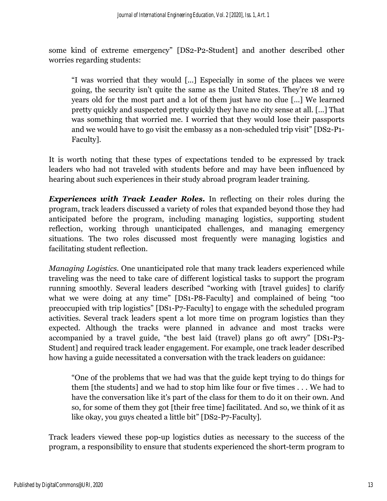some kind of extreme emergency" [DS2-P2-Student] and another described other worries regarding students:

"I was worried that they would [...] Especially in some of the places we were going, the security isn't quite the same as the United States. They're 18 and 19 years old for the most part and a lot of them just have no clue […] We learned pretty quickly and suspected pretty quickly they have no city sense at all. [...] That was something that worried me. I worried that they would lose their passports and we would have to go visit the embassy as a non-scheduled trip visit" [DS2-P1- Faculty].

It is worth noting that these types of expectations tended to be expressed by track leaders who had not traveled with students before and may have been influenced by hearing about such experiences in their study abroad program leader training.

*Experiences with Track Leader Roles.* In reflecting on their roles during the program, track leaders discussed a variety of roles that expanded beyond those they had anticipated before the program, including managing logistics, supporting student reflection, working through unanticipated challenges, and managing emergency situations. The two roles discussed most frequently were managing logistics and facilitating student reflection.

*Managing Logistics.* One unanticipated role that many track leaders experienced while traveling was the need to take care of different logistical tasks to support the program running smoothly. Several leaders described "working with [travel guides] to clarify what we were doing at any time" [DS1-P8-Faculty] and complained of being "too preoccupied with trip logistics" [DS1-P7-Faculty] to engage with the scheduled program activities. Several track leaders spent a lot more time on program logistics than they expected. Although the tracks were planned in advance and most tracks were accompanied by a travel guide, "the best laid (travel) plans go oft awry" [DS1-P3- Student] and required track leader engagement. For example, one track leader described how having a guide necessitated a conversation with the track leaders on guidance:

"One of the problems that we had was that the guide kept trying to do things for them [the students] and we had to stop him like four or five times . . . We had to have the conversation like it's part of the class for them to do it on their own. And so, for some of them they got [their free time] facilitated. And so, we think of it as like okay, you guys cheated a little bit" [DS2-P7-Faculty].

Track leaders viewed these pop-up logistics duties as necessary to the success of the program, a responsibility to ensure that students experienced the short-term program to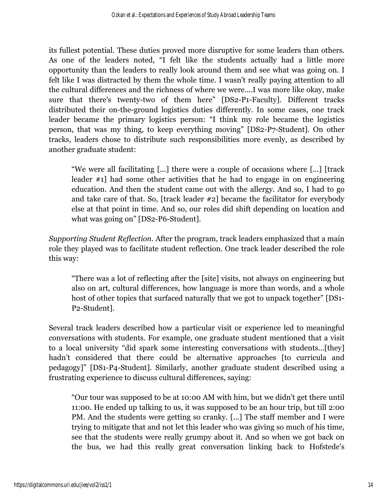its fullest potential. These duties proved more disruptive for some leaders than others. As one of the leaders noted, "I felt like the students actually had a little more opportunity than the leaders to really look around them and see what was going on. I felt like I was distracted by them the whole time. I wasn't really paying attention to all the cultural differences and the richness of where we were....I was more like okay, make sure that there's twenty-two of them here" [DS2-P1-Faculty]. Different tracks distributed their on-the-ground logistics duties differently. In some cases, one track leader became the primary logistics person: "I think my role became the logistics person, that was my thing, to keep everything moving" [DS2-P7-Student]. On other tracks, leaders chose to distribute such responsibilities more evenly, as described by another graduate student:

"We were all facilitating [...] there were a couple of occasions where [...] [track leader #1] had some other activities that he had to engage in on engineering education. And then the student came out with the allergy. And so, I had to go and take care of that. So, [track leader #2] became the facilitator for everybody else at that point in time. And so, our roles did shift depending on location and what was going on" [DS2-P6-Student].

*Supporting Student Reflection.* After the program, track leaders emphasized that a main role they played was to facilitate student reflection. One track leader described the role this way:

"There was a lot of reflecting after the [site] visits, not always on engineering but also on art, cultural differences, how language is more than words, and a whole host of other topics that surfaced naturally that we got to unpack together" [DS1- P2-Student].

Several track leaders described how a particular visit or experience led to meaningful conversations with students. For example, one graduate student mentioned that a visit to a local university "did spark some interesting conversations with students…[they] hadn't considered that there could be alternative approaches [to curricula and pedagogy]" [DS1-P4-Student]. Similarly, another graduate student described using a frustrating experience to discuss cultural differences, saying:

"Our tour was supposed to be at 10:00 AM with him, but we didn't get there until 11:00. He ended up talking to us, it was supposed to be an hour trip, but till 2:00 PM. And the students were getting so cranky. [...] The staff member and I were trying to mitigate that and not let this leader who was giving so much of his time, see that the students were really grumpy about it. And so when we got back on the bus, we had this really great conversation linking back to Hofstede's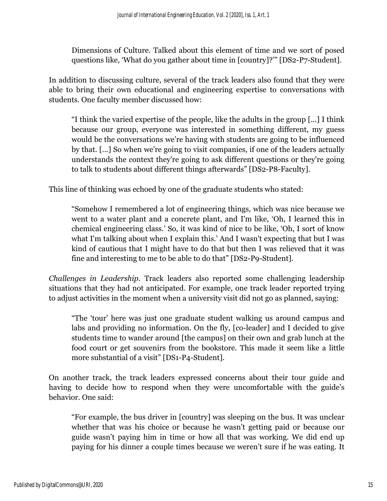Dimensions of Culture. Talked about this element of time and we sort of posed questions like, 'What do you gather about time in [country]?'" [DS2-P7-Student].

In addition to discussing culture, several of the track leaders also found that they were able to bring their own educational and engineering expertise to conversations with students. One faculty member discussed how:

"I think the varied expertise of the people, like the adults in the group [...] I think because our group, everyone was interested in something different, my guess would be the conversations we're having with students are going to be influenced by that. [...] So when we're going to visit companies, if one of the leaders actually understands the context they're going to ask different questions or they're going to talk to students about different things afterwards" [DS2-P8-Faculty].

This line of thinking was echoed by one of the graduate students who stated:

"Somehow I remembered a lot of engineering things, which was nice because we went to a water plant and a concrete plant, and I'm like, 'Oh, I learned this in chemical engineering class.' So, it was kind of nice to be like, 'Oh, I sort of know what I'm talking about when I explain this.' And I wasn't expecting that but I was kind of cautious that I might have to do that but then I was relieved that it was fine and interesting to me to be able to do that" [DS2-P9-Student].

*Challenges in Leadership.* Track leaders also reported some challenging leadership situations that they had not anticipated. For example, one track leader reported trying to adjust activities in the moment when a university visit did not go as planned, saying:

"The 'tour' here was just one graduate student walking us around campus and labs and providing no information. On the fly, [co-leader] and I decided to give students time to wander around [the campus] on their own and grab lunch at the food court or get souvenirs from the bookstore. This made it seem like a little more substantial of a visit" [DS1-P4-Student].

On another track, the track leaders expressed concerns about their tour guide and having to decide how to respond when they were uncomfortable with the guide's behavior. One said:

"For example, the bus driver in [country] was sleeping on the bus. It was unclear whether that was his choice or because he wasn't getting paid or because our guide wasn't paying him in time or how all that was working. We did end up paying for his dinner a couple times because we weren't sure if he was eating. It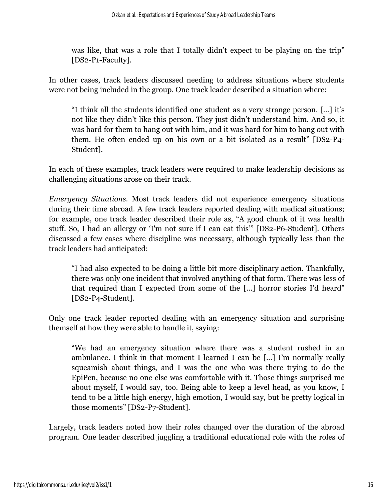was like, that was a role that I totally didn't expect to be playing on the trip" [DS2-P1-Faculty].

In other cases, track leaders discussed needing to address situations where students were not being included in the group. One track leader described a situation where:

"I think all the students identified one student as a very strange person. [...] it's not like they didn't like this person. They just didn't understand him. And so, it was hard for them to hang out with him, and it was hard for him to hang out with them. He often ended up on his own or a bit isolated as a result" [DS2-P4- Student].

In each of these examples, track leaders were required to make leadership decisions as challenging situations arose on their track.

*Emergency Situations.* Most track leaders did not experience emergency situations during their time abroad. A few track leaders reported dealing with medical situations; for example, one track leader described their role as, "A good chunk of it was health stuff. So, I had an allergy or 'I'm not sure if I can eat this'" [DS2-P6-Student]. Others discussed a few cases where discipline was necessary, although typically less than the track leaders had anticipated:

"I had also expected to be doing a little bit more disciplinary action. Thankfully, there was only one incident that involved anything of that form. There was less of that required than I expected from some of the [...] horror stories I'd heard" [DS2-P4-Student].

Only one track leader reported dealing with an emergency situation and surprising themself at how they were able to handle it, saying:

"We had an emergency situation where there was a student rushed in an ambulance. I think in that moment I learned I can be [...] I'm normally really squeamish about things, and I was the one who was there trying to do the EpiPen, because no one else was comfortable with it. Those things surprised me about myself, I would say, too. Being able to keep a level head, as you know, I tend to be a little high energy, high emotion, I would say, but be pretty logical in those moments" [DS2-P7-Student].

Largely, track leaders noted how their roles changed over the duration of the abroad program. One leader described juggling a traditional educational role with the roles of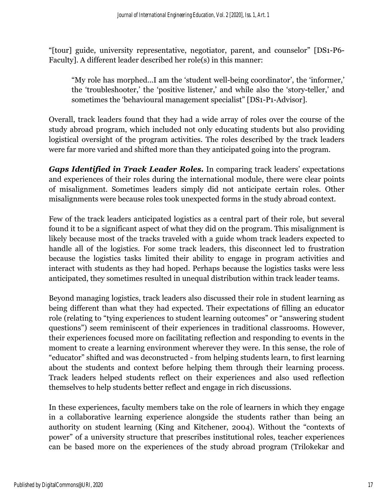"[tour] guide, university representative, negotiator, parent, and counselor" [DS1-P6- Faculty]. A different leader described her role(s) in this manner:

"My role has morphed...I am the 'student well-being coordinator', the 'informer,' the 'troubleshooter,' the 'positive listener,' and while also the 'story-teller,' and sometimes the 'behavioural management specialist" [DS1-P1-Advisor].

Overall, track leaders found that they had a wide array of roles over the course of the study abroad program, which included not only educating students but also providing logistical oversight of the program activities. The roles described by the track leaders were far more varied and shifted more than they anticipated going into the program.

*Gaps Identified in Track Leader Roles.* In comparing track leaders' expectations and experiences of their roles during the international module, there were clear points of misalignment. Sometimes leaders simply did not anticipate certain roles. Other misalignments were because roles took unexpected forms in the study abroad context.

Few of the track leaders anticipated logistics as a central part of their role, but several found it to be a significant aspect of what they did on the program. This misalignment is likely because most of the tracks traveled with a guide whom track leaders expected to handle all of the logistics. For some track leaders, this disconnect led to frustration because the logistics tasks limited their ability to engage in program activities and interact with students as they had hoped. Perhaps because the logistics tasks were less anticipated, they sometimes resulted in unequal distribution within track leader teams.

Beyond managing logistics, track leaders also discussed their role in student learning as being different than what they had expected. Their expectations of filling an educator role (relating to "tying experiences to student learning outcomes" or "answering student questions") seem reminiscent of their experiences in traditional classrooms. However, their experiences focused more on facilitating reflection and responding to events in the moment to create a learning environment wherever they were. In this sense, the role of "educator" shifted and was deconstructed - from helping students learn, to first learning about the students and context before helping them through their learning process. Track leaders helped students reflect on their experiences and also used reflection themselves to help students better reflect and engage in rich discussions.

In these experiences, faculty members take on the role of learners in which they engage in a collaborative learning experience alongside the students rather than being an authority on student learning (King and Kitchener, 2004). Without the "contexts of power" of a university structure that prescribes institutional roles, teacher experiences can be based more on the experiences of the study abroad program (Trilokekar and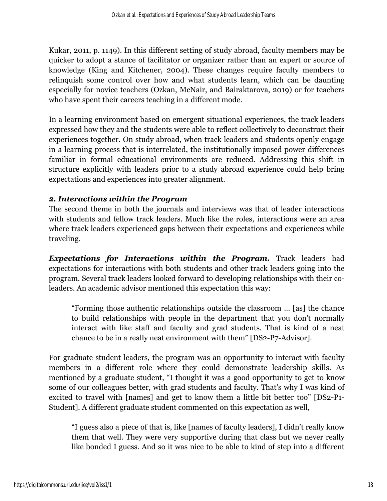Kukar, 2011, p. 1149). In this different setting of study abroad, faculty members may be quicker to adopt a stance of facilitator or organizer rather than an expert or source of knowledge (King and Kitchener, 2004). These changes require faculty members to relinquish some control over how and what students learn, which can be daunting especially for novice teachers (Ozkan, McNair, and Bairaktarova, 2019) or for teachers who have spent their careers teaching in a different mode.

In a learning environment based on emergent situational experiences, the track leaders expressed how they and the students were able to reflect collectively to deconstruct their experiences together. On study abroad, when track leaders and students openly engage in a learning process that is interrelated, the institutionally imposed power differences familiar in formal educational environments are reduced. Addressing this shift in structure explicitly with leaders prior to a study abroad experience could help bring expectations and experiences into greater alignment.

## *2. Interactions within the Program*

The second theme in both the journals and interviews was that of leader interactions with students and fellow track leaders. Much like the roles, interactions were an area where track leaders experienced gaps between their expectations and experiences while traveling.

*Expectations for Interactions within the Program.* Track leaders had expectations for interactions with both students and other track leaders going into the program. Several track leaders looked forward to developing relationships with their coleaders. An academic advisor mentioned this expectation this way:

"Forming those authentic relationships outside the classroom ... [as] the chance to build relationships with people in the department that you don't normally interact with like staff and faculty and grad students. That is kind of a neat chance to be in a really neat environment with them" [DS2-P7-Advisor].

For graduate student leaders, the program was an opportunity to interact with faculty members in a different role where they could demonstrate leadership skills. As mentioned by a graduate student, "I thought it was a good opportunity to get to know some of our colleagues better, with grad students and faculty. That's why I was kind of excited to travel with [names] and get to know them a little bit better too" [DS2-P1- Student]. A different graduate student commented on this expectation as well,

"I guess also a piece of that is, like [names of faculty leaders], I didn't really know them that well. They were very supportive during that class but we never really like bonded I guess. And so it was nice to be able to kind of step into a different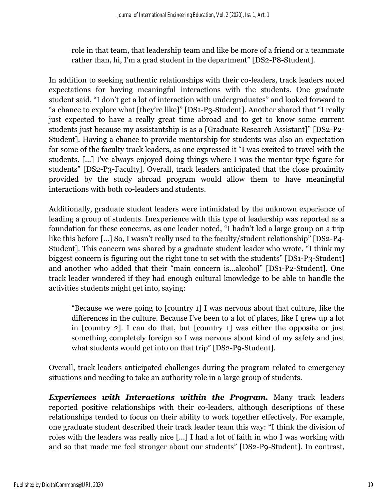role in that team, that leadership team and like be more of a friend or a teammate rather than, hi, I'm a grad student in the department" [DS2-P8-Student].

In addition to seeking authentic relationships with their co-leaders, track leaders noted expectations for having meaningful interactions with the students. One graduate student said, "I don't get a lot of interaction with undergraduates" and looked forward to "a chance to explore what [they're like]" [DS1-P3-Student]. Another shared that "I really just expected to have a really great time abroad and to get to know some current students just because my assistantship is as a [Graduate Research Assistant]" [DS2-P2- Student]. Having a chance to provide mentorship for students was also an expectation for some of the faculty track leaders, as one expressed it "I was excited to travel with the students. [...] I've always enjoyed doing things where I was the mentor type figure for students" [DS2-P3-Faculty]. Overall, track leaders anticipated that the close proximity provided by the study abroad program would allow them to have meaningful interactions with both co-leaders and students.

Additionally, graduate student leaders were intimidated by the unknown experience of leading a group of students. Inexperience with this type of leadership was reported as a foundation for these concerns, as one leader noted, "I hadn't led a large group on a trip like this before [...] So, I wasn't really used to the faculty/student relationship" [DS2-P4- Student]. This concern was shared by a graduate student leader who wrote, "I think my biggest concern is figuring out the right tone to set with the students" [DS1-P3-Student] and another who added that their "main concern is...alcohol" [DS1-P2-Student]. One track leader wondered if they had enough cultural knowledge to be able to handle the activities students might get into, saying:

"Because we were going to [country 1] I was nervous about that culture, like the differences in the culture. Because I've been to a lot of places, like I grew up a lot in [country 2]. I can do that, but [country 1] was either the opposite or just something completely foreign so I was nervous about kind of my safety and just what students would get into on that trip" [DS2-P9-Student].

Overall, track leaders anticipated challenges during the program related to emergency situations and needing to take an authority role in a large group of students.

*Experiences with Interactions within the Program.* Many track leaders reported positive relationships with their co-leaders, although descriptions of these relationships tended to focus on their ability to work together effectively. For example, one graduate student described their track leader team this way: "I think the division of roles with the leaders was really nice [...] I had a lot of faith in who I was working with and so that made me feel stronger about our students" [DS2-P9-Student]. In contrast,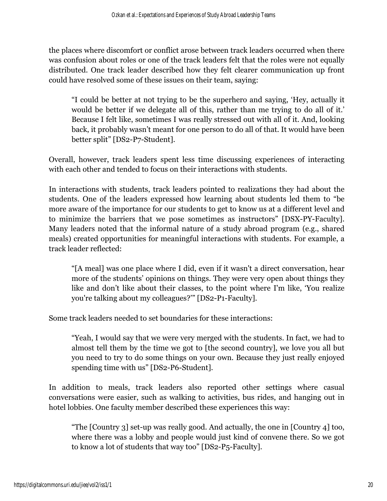the places where discomfort or conflict arose between track leaders occurred when there was confusion about roles or one of the track leaders felt that the roles were not equally distributed. One track leader described how they felt clearer communication up front could have resolved some of these issues on their team, saying:

"I could be better at not trying to be the superhero and saying, 'Hey, actually it would be better if we delegate all of this, rather than me trying to do all of it.' Because I felt like, sometimes I was really stressed out with all of it. And, looking back, it probably wasn't meant for one person to do all of that. It would have been better split" [DS2-P7-Student].

Overall, however, track leaders spent less time discussing experiences of interacting with each other and tended to focus on their interactions with students.

In interactions with students, track leaders pointed to realizations they had about the students. One of the leaders expressed how learning about students led them to "be more aware of the importance for our students to get to know us at a different level and to minimize the barriers that we pose sometimes as instructors" [DSX-PY-Faculty]. Many leaders noted that the informal nature of a study abroad program (e.g., shared meals) created opportunities for meaningful interactions with students. For example, a track leader reflected:

"[A meal] was one place where I did, even if it wasn't a direct conversation, hear more of the students' opinions on things. They were very open about things they like and don't like about their classes, to the point where I'm like, 'You realize you're talking about my colleagues?'" [DS2-P1-Faculty].

Some track leaders needed to set boundaries for these interactions:

"Yeah, I would say that we were very merged with the students. In fact, we had to almost tell them by the time we got to [the second country], we love you all but you need to try to do some things on your own. Because they just really enjoyed spending time with us" [DS2-P6-Student].

In addition to meals, track leaders also reported other settings where casual conversations were easier, such as walking to activities, bus rides, and hanging out in hotel lobbies. One faculty member described these experiences this way:

"The [Country 3] set-up was really good. And actually, the one in [Country 4] too, where there was a lobby and people would just kind of convene there. So we got to know a lot of students that way too" [DS2-P5-Faculty].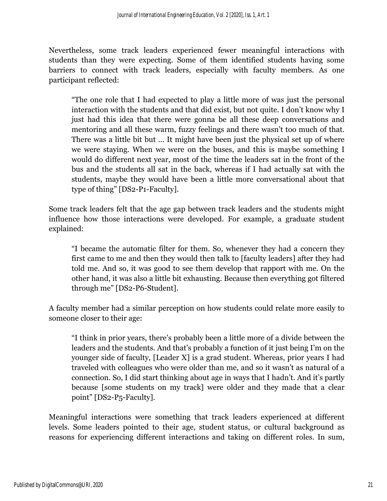Nevertheless, some track leaders experienced fewer meaningful interactions with students than they were expecting. Some of them identified students having some barriers to connect with track leaders, especially with faculty members. As one participant reflected:

"The one role that I had expected to play a little more of was just the personal interaction with the students and that did exist, but not quite. I don't know why I just had this idea that there were gonna be all these deep conversations and mentoring and all these warm, fuzzy feelings and there wasn't too much of that. There was a little bit but ... It might have been just the physical set up of where we were staying. When we were on the buses, and this is maybe something I would do different next year, most of the time the leaders sat in the front of the bus and the students all sat in the back, whereas if I had actually sat with the students, maybe they would have been a little more conversational about that type of thing" [DS2-P1-Faculty].

Some track leaders felt that the age gap between track leaders and the students might influence how those interactions were developed. For example, a graduate student explained:

"I became the automatic filter for them. So, whenever they had a concern they first came to me and then they would then talk to [faculty leaders] after they had told me. And so, it was good to see them develop that rapport with me. On the other hand, it was also a little bit exhausting. Because then everything got filtered through me" [DS2-P6-Student].

A faculty member had a similar perception on how students could relate more easily to someone closer to their age:

"I think in prior years, there's probably been a little more of a divide between the leaders and the students. And that's probably a function of it just being I'm on the younger side of faculty, [Leader X] is a grad student. Whereas, prior years I had traveled with colleagues who were older than me, and so it wasn't as natural of a connection. So, I did start thinking about age in ways that I hadn't. And it's partly because [some students on my track] were older and they made that a clear point" [DS2-P5-Faculty].

Meaningful interactions were something that track leaders experienced at different levels. Some leaders pointed to their age, student status, or cultural background as reasons for experiencing different interactions and taking on different roles. In sum,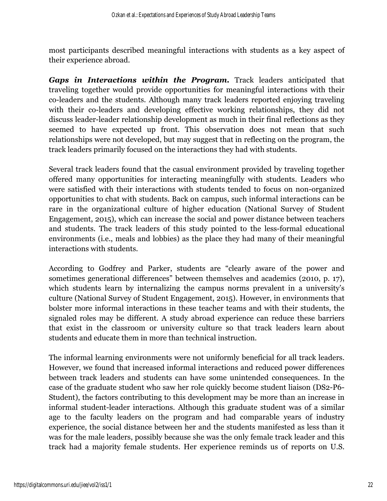most participants described meaningful interactions with students as a key aspect of their experience abroad.

*Gaps in Interactions within the Program.* Track leaders anticipated that traveling together would provide opportunities for meaningful interactions with their co-leaders and the students. Although many track leaders reported enjoying traveling with their co-leaders and developing effective working relationships, they did not discuss leader-leader relationship development as much in their final reflections as they seemed to have expected up front. This observation does not mean that such relationships were not developed, but may suggest that in reflecting on the program, the track leaders primarily focused on the interactions they had with students.

Several track leaders found that the casual environment provided by traveling together offered many opportunities for interacting meaningfully with students. Leaders who were satisfied with their interactions with students tended to focus on non-organized opportunities to chat with students. Back on campus, such informal interactions can be rare in the organizational culture of higher education (National Survey of Student Engagement, 2015), which can increase the social and power distance between teachers and students. The track leaders of this study pointed to the less-formal educational environments (i.e., meals and lobbies) as the place they had many of their meaningful interactions with students.

According to Godfrey and Parker, students are "clearly aware of the power and sometimes generational differences" between themselves and academics (2010, p. 17), which students learn by internalizing the campus norms prevalent in a university's culture (National Survey of Student Engagement, 2015). However, in environments that bolster more informal interactions in these teacher teams and with their students, the signaled roles may be different. A study abroad experience can reduce these barriers that exist in the classroom or university culture so that track leaders learn about students and educate them in more than technical instruction.

The informal learning environments were not uniformly beneficial for all track leaders. However, we found that increased informal interactions and reduced power differences between track leaders and students can have some unintended consequences. In the case of the graduate student who saw her role quickly become student liaison (DS2-P6- Student), the factors contributing to this development may be more than an increase in informal student-leader interactions. Although this graduate student was of a similar age to the faculty leaders on the program and had comparable years of industry experience, the social distance between her and the students manifested as less than it was for the male leaders, possibly because she was the only female track leader and this track had a majority female students. Her experience reminds us of reports on U.S.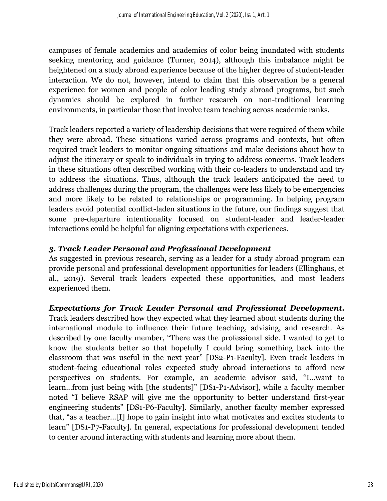campuses of female academics and academics of color being inundated with students seeking mentoring and guidance (Turner, 2014), although this imbalance might be heightened on a study abroad experience because of the higher degree of student-leader interaction. We do not, however, intend to claim that this observation be a general experience for women and people of color leading study abroad programs, but such dynamics should be explored in further research on non-traditional learning environments, in particular those that involve team teaching across academic ranks.

Track leaders reported a variety of leadership decisions that were required of them while they were abroad. These situations varied across programs and contexts, but often required track leaders to monitor ongoing situations and make decisions about how to adjust the itinerary or speak to individuals in trying to address concerns. Track leaders in these situations often described working with their co-leaders to understand and try to address the situations. Thus, although the track leaders anticipated the need to address challenges during the program, the challenges were less likely to be emergencies and more likely to be related to relationships or programming. In helping program leaders avoid potential conflict-laden situations in the future, our findings suggest that some pre-departure intentionality focused on student-leader and leader-leader interactions could be helpful for aligning expectations with experiences.

### *3. Track Leader Personal and Professional Development*

As suggested in previous research, serving as a leader for a study abroad program can provide personal and professional development opportunities for leaders (Ellinghaus, et al., 2019). Several track leaders expected these opportunities, and most leaders experienced them.

*Expectations for Track Leader Personal and Professional Development.*

Track leaders described how they expected what they learned about students during the international module to influence their future teaching, advising, and research. As described by one faculty member, "There was the professional side. I wanted to get to know the students better so that hopefully I could bring something back into the classroom that was useful in the next year" [DS2-P1-Faculty]. Even track leaders in student-facing educational roles expected study abroad interactions to afford new perspectives on students. For example, an academic advisor said, "I...want to learn...from just being with [the students]" [DS1-P1-Advisor], while a faculty member noted "I believe RSAP will give me the opportunity to better understand first-year engineering students" [DS1-P6-Faculty]. Similarly, another faculty member expressed that, "as a teacher...[I] hope to gain insight into what motivates and excites students to learn" [DS1-P7-Faculty]. In general, expectations for professional development tended to center around interacting with students and learning more about them.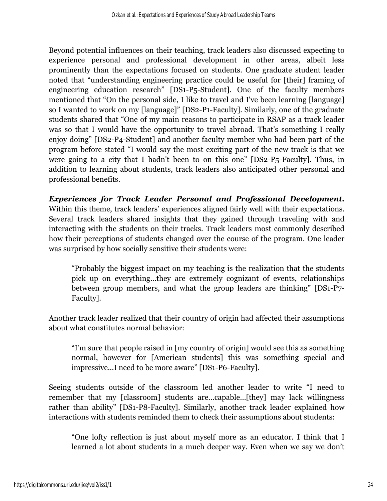Beyond potential influences on their teaching, track leaders also discussed expecting to experience personal and professional development in other areas, albeit less prominently than the expectations focused on students. One graduate student leader noted that "understanding engineering practice could be useful for [their] framing of engineering education research" [DS1-P5-Student]. One of the faculty members mentioned that "On the personal side, I like to travel and I've been learning [language] so I wanted to work on my [language]" [DS2-P1-Faculty]. Similarly, one of the graduate students shared that "One of my main reasons to participate in RSAP as a track leader was so that I would have the opportunity to travel abroad. That's something I really enjoy doing" [DS2-P4-Student] and another faculty member who had been part of the program before stated "I would say the most exciting part of the new track is that we were going to a city that I hadn't been to on this one" [DS2-P5-Faculty]. Thus, in addition to learning about students, track leaders also anticipated other personal and professional benefits.

*Experiences for Track Leader Personal and Professional Development.* Within this theme, track leaders' experiences aligned fairly well with their expectations. Several track leaders shared insights that they gained through traveling with and interacting with the students on their tracks. Track leaders most commonly described how their perceptions of students changed over the course of the program. One leader was surprised by how socially sensitive their students were:

"Probably the biggest impact on my teaching is the realization that the students pick up on everything...they are extremely cognizant of events, relationships between group members, and what the group leaders are thinking" [DS1-P7- Faculty].

Another track leader realized that their country of origin had affected their assumptions about what constitutes normal behavior:

"I'm sure that people raised in [my country of origin] would see this as something normal, however for [American students] this was something special and impressive...I need to be more aware" [DS1-P6-Faculty].

Seeing students outside of the classroom led another leader to write "I need to remember that my [classroom] students are...capable…[they] may lack willingness rather than ability" [DS1-P8-Faculty]. Similarly, another track leader explained how interactions with students reminded them to check their assumptions about students:

"One lofty reflection is just about myself more as an educator. I think that I learned a lot about students in a much deeper way. Even when we say we don't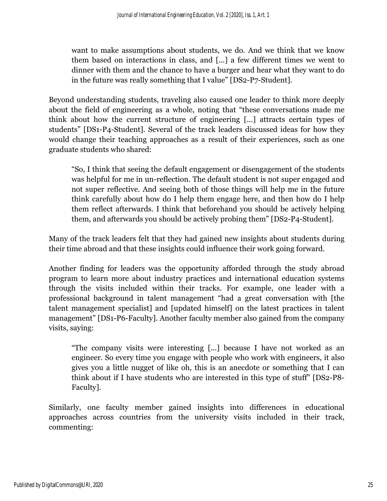want to make assumptions about students, we do. And we think that we know them based on interactions in class, and [...] a few different times we went to dinner with them and the chance to have a burger and hear what they want to do in the future was really something that I value" [DS2-P7-Student].

Beyond understanding students, traveling also caused one leader to think more deeply about the field of engineering as a whole, noting that "these conversations made me think about how the current structure of engineering [...] attracts certain types of students" [DS1-P4-Student]. Several of the track leaders discussed ideas for how they would change their teaching approaches as a result of their experiences, such as one graduate students who shared:

"So, I think that seeing the default engagement or disengagement of the students was helpful for me in un-reflection. The default student is not super engaged and not super reflective. And seeing both of those things will help me in the future think carefully about how do I help them engage here, and then how do I help them reflect afterwards. I think that beforehand you should be actively helping them, and afterwards you should be actively probing them" [DS2-P4-Student].

Many of the track leaders felt that they had gained new insights about students during their time abroad and that these insights could influence their work going forward.

Another finding for leaders was the opportunity afforded through the study abroad program to learn more about industry practices and international education systems through the visits included within their tracks. For example, one leader with a professional background in talent management "had a great conversation with [the talent management specialist] and [updated himself] on the latest practices in talent management" [DS1-P6-Faculty]. Another faculty member also gained from the company visits, saying:

"The company visits were interesting [...] because I have not worked as an engineer. So every time you engage with people who work with engineers, it also gives you a little nugget of like oh, this is an anecdote or something that I can think about if I have students who are interested in this type of stuff" [DS2-P8- Faculty].

Similarly, one faculty member gained insights into differences in educational approaches across countries from the university visits included in their track, commenting: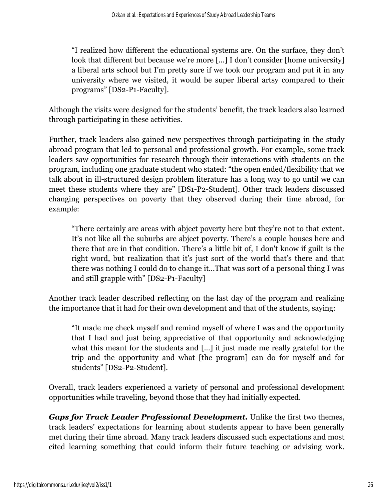"I realized how different the educational systems are. On the surface, they don't look that different but because we're more [...] I don't consider [home university] a liberal arts school but I'm pretty sure if we took our program and put it in any university where we visited, it would be super liberal artsy compared to their programs" [DS2-P1-Faculty].

Although the visits were designed for the students' benefit, the track leaders also learned through participating in these activities.

Further, track leaders also gained new perspectives through participating in the study abroad program that led to personal and professional growth. For example, some track leaders saw opportunities for research through their interactions with students on the program, including one graduate student who stated: "the open ended/flexibility that we talk about in ill-structured design problem literature has a long way to go until we can meet these students where they are" [DS1-P2-Student]. Other track leaders discussed changing perspectives on poverty that they observed during their time abroad, for example:

"There certainly are areas with abject poverty here but they're not to that extent. It's not like all the suburbs are abject poverty. There's a couple houses here and there that are in that condition. There's a little bit of, I don't know if guilt is the right word, but realization that it's just sort of the world that's there and that there was nothing I could do to change it...That was sort of a personal thing I was and still grapple with" [DS2-P1-Faculty]

Another track leader described reflecting on the last day of the program and realizing the importance that it had for their own development and that of the students, saying:

"It made me check myself and remind myself of where I was and the opportunity that I had and just being appreciative of that opportunity and acknowledging what this meant for the students and [...] it just made me really grateful for the trip and the opportunity and what [the program] can do for myself and for students" [DS2-P2-Student].

Overall, track leaders experienced a variety of personal and professional development opportunities while traveling, beyond those that they had initially expected.

*Gaps for Track Leader Professional Development.* Unlike the first two themes, track leaders' expectations for learning about students appear to have been generally met during their time abroad. Many track leaders discussed such expectations and most cited learning something that could inform their future teaching or advising work.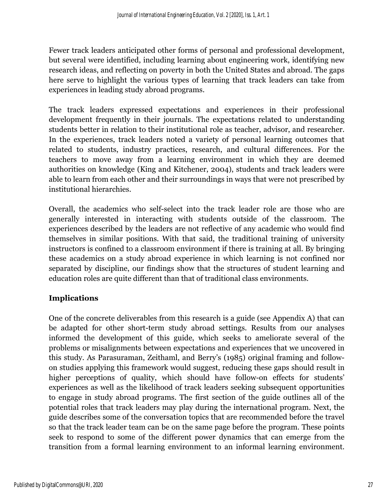Fewer track leaders anticipated other forms of personal and professional development, but several were identified, including learning about engineering work, identifying new research ideas, and reflecting on poverty in both the United States and abroad. The gaps here serve to highlight the various types of learning that track leaders can take from experiences in leading study abroad programs.

The track leaders expressed expectations and experiences in their professional development frequently in their journals. The expectations related to understanding students better in relation to their institutional role as teacher, advisor, and researcher. In the experiences, track leaders noted a variety of personal learning outcomes that related to students, industry practices, research, and cultural differences. For the teachers to move away from a learning environment in which they are deemed authorities on knowledge (King and Kitchener, 2004), students and track leaders were able to learn from each other and their surroundings in ways that were not prescribed by institutional hierarchies.

Overall, the academics who self-select into the track leader role are those who are generally interested in interacting with students outside of the classroom. The experiences described by the leaders are not reflective of any academic who would find themselves in similar positions. With that said, the traditional training of university instructors is confined to a classroom environment if there is training at all. By bringing these academics on a study abroad experience in which learning is not confined nor separated by discipline, our findings show that the structures of student learning and education roles are quite different than that of traditional class environments.

### **Implications**

One of the concrete deliverables from this research is a guide (see Appendix A) that can be adapted for other short-term study abroad settings. Results from our analyses informed the development of this guide, which seeks to ameliorate several of the problems or misalignments between expectations and experiences that we uncovered in this study. As Parasuraman, Zeithaml, and Berry's (1985) original framing and followon studies applying this framework would suggest, reducing these gaps should result in higher perceptions of quality, which should have follow-on effects for students' experiences as well as the likelihood of track leaders seeking subsequent opportunities to engage in study abroad programs. The first section of the guide outlines all of the potential roles that track leaders may play during the international program. Next, the guide describes some of the conversation topics that are recommended before the travel so that the track leader team can be on the same page before the program. These points seek to respond to some of the different power dynamics that can emerge from the transition from a formal learning environment to an informal learning environment.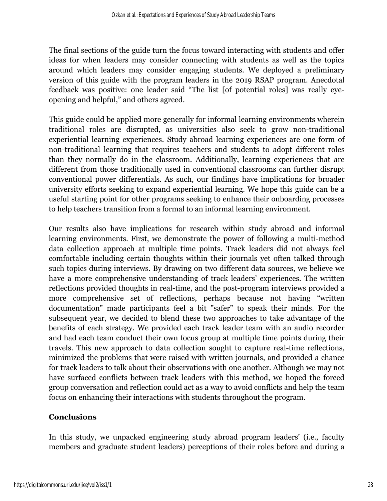The final sections of the guide turn the focus toward interacting with students and offer ideas for when leaders may consider connecting with students as well as the topics around which leaders may consider engaging students. We deployed a preliminary version of this guide with the program leaders in the 2019 RSAP program. Anecdotal feedback was positive: one leader said "The list [of potential roles] was really eyeopening and helpful," and others agreed.

This guide could be applied more generally for informal learning environments wherein traditional roles are disrupted, as universities also seek to grow non-traditional experiential learning experiences. Study abroad learning experiences are one form of non-traditional learning that requires teachers and students to adopt different roles than they normally do in the classroom. Additionally, learning experiences that are different from those traditionally used in conventional classrooms can further disrupt conventional power differentials. As such, our findings have implications for broader university efforts seeking to expand experiential learning. We hope this guide can be a useful starting point for other programs seeking to enhance their onboarding processes to help teachers transition from a formal to an informal learning environment.

Our results also have implications for research within study abroad and informal learning environments. First, we demonstrate the power of following a multi-method data collection approach at multiple time points. Track leaders did not always feel comfortable including certain thoughts within their journals yet often talked through such topics during interviews. By drawing on two different data sources, we believe we have a more comprehensive understanding of track leaders' experiences. The written reflections provided thoughts in real-time, and the post-program interviews provided a more comprehensive set of reflections, perhaps because not having "written documentation" made participants feel a bit "safer" to speak their minds. For the subsequent year, we decided to blend these two approaches to take advantage of the benefits of each strategy. We provided each track leader team with an audio recorder and had each team conduct their own focus group at multiple time points during their travels. This new approach to data collection sought to capture real-time reflections, minimized the problems that were raised with written journals, and provided a chance for track leaders to talk about their observations with one another. Although we may not have surfaced conflicts between track leaders with this method, we hoped the forced group conversation and reflection could act as a way to avoid conflicts and help the team focus on enhancing their interactions with students throughout the program.

# **Conclusions**

In this study, we unpacked engineering study abroad program leaders' (i.e., faculty members and graduate student leaders) perceptions of their roles before and during a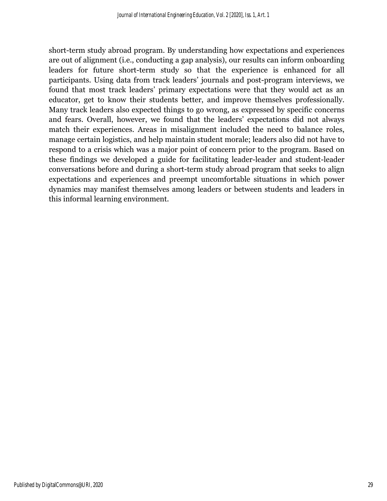short-term study abroad program. By understanding how expectations and experiences are out of alignment (i.e., conducting a gap analysis), our results can inform onboarding leaders for future short-term study so that the experience is enhanced for all participants. Using data from track leaders' journals and post-program interviews, we found that most track leaders' primary expectations were that they would act as an educator, get to know their students better, and improve themselves professionally. Many track leaders also expected things to go wrong, as expressed by specific concerns and fears. Overall, however, we found that the leaders' expectations did not always match their experiences. Areas in misalignment included the need to balance roles, manage certain logistics, and help maintain student morale; leaders also did not have to respond to a crisis which was a major point of concern prior to the program. Based on these findings we developed a guide for facilitating leader-leader and student-leader conversations before and during a short-term study abroad program that seeks to align expectations and experiences and preempt uncomfortable situations in which power dynamics may manifest themselves among leaders or between students and leaders in this informal learning environment.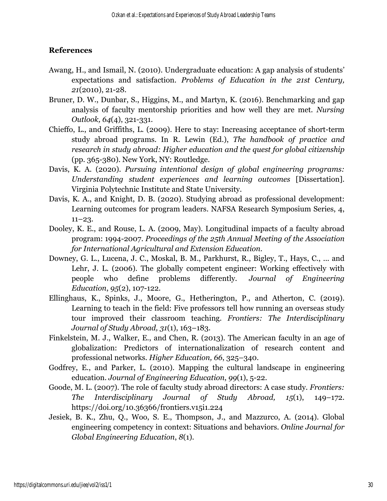#### **References**

- Awang, H., and Ismail, N. (2010). Undergraduate education: A gap analysis of students' expectations and satisfaction. *Problems of Education in the 21st Century, 21*(2010), 21-28.
- Bruner, D. W., Dunbar, S., Higgins, M., and Martyn, K. (2016). Benchmarking and gap analysis of faculty mentorship priorities and how well they are met. *Nursing Outlook, 64*(4), 321-331.
- Chieffo, L., and Griffiths, L. (2009). Here to stay: Increasing acceptance of short-term study abroad programs. In R. Lewin (Ed.), *The handbook of practice and research in study abroad: Higher education and the quest for global citizenship* (pp. 365-380). New York, NY: Routledge.
- Davis, K. A. (2020). *Pursuing intentional design of global engineering programs: Understanding student experiences and learning outcomes* [Dissertation]. Virginia Polytechnic Institute and State University.
- Davis, K. A., and Knight, D. B. (2020). Studying abroad as professional development: Learning outcomes for program leaders. NAFSA Research Symposium Series, 4,  $11-23.$
- Dooley, K. E., and Rouse, L. A. (2009, May). Longitudinal impacts of a faculty abroad program: 1994-2007. *Proceedings of the 25th Annual Meeting of the Association for International Agricultural and Extension Education*.
- Downey, G. L., Lucena, J. C., Moskal, B. M., Parkhurst, R., Bigley, T., Hays, C., ... and Lehr, J. L. (2006). The globally competent engineer: Working effectively with people who define problems differently. *Journal of Engineering Education*, *95*(2), 107-122.
- Ellinghaus, K., Spinks, J., Moore, G., Hetherington, P., and Atherton, C. (2019). Learning to teach in the field: Five professors tell how running an overseas study tour improved their classroom teaching. *Frontiers: The Interdisciplinary Journal of Study Abroad, 31*(1), 163–183.
- Finkelstein, M. J., Walker, E., and Chen, R. (2013). The American faculty in an age of globalization: Predictors of internationalization of research content and professional networks. *Higher Education, 66*, 325–340.
- Godfrey, E., and Parker, L. (2010). Mapping the cultural landscape in engineering education. *Journal of Engineering Education*, *99*(1), 5-22.
- Goode, M. L. (2007). The role of faculty study abroad directors: A case study. *Frontiers: The Interdisciplinary Journal of Study Abroad, 15*(1), 149–172. https://doi.org/10.36366/frontiers.v15i1.224
- Jesiek, B. K., Zhu, Q., Woo, S. E., Thompson, J., and Mazzurco, A. (2014). Global engineering competency in context: Situations and behaviors. *Online Journal for Global Engineering Education*, *8*(1).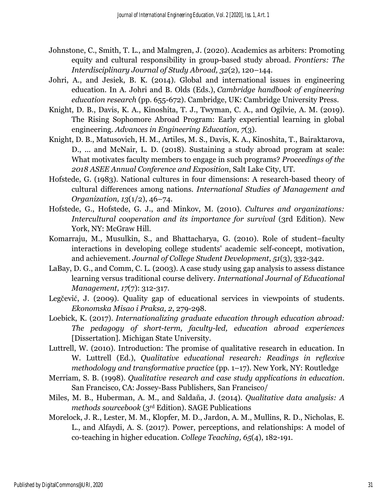- Johnstone, C., Smith, T. L., and Malmgren, J. (2020). Academics as arbiters: Promoting equity and cultural responsibility in group-based study abroad. *Frontiers: The Interdisciplinary Journal of Study Abroad, 32*(2), 120–144.
- Johri, A., and Jesiek, B. K. (2014). Global and international issues in engineering education. In A. Johri and B. Olds (Eds.), *Cambridge handbook of engineering education research* (pp. 655-672). Cambridge, UK: Cambridge University Press.
- Knight, D. B., Davis, K. A., Kinoshita, T. J., Twyman, C. A., and Ogilvie, A. M. (2019). The Rising Sophomore Abroad Program: Early experiential learning in global engineering. *Advances in Engineering Education, 7*(3).
- Knight, D. B., Matusovich, H. M., Artiles, M. S., Davis, K. A., Kinoshita, T., Bairaktarova, D., ... and McNair, L. D. (2018). Sustaining a study abroad program at scale: What motivates faculty members to engage in such programs? *Proceedings of the 2018 ASEE Annual Conference and Exposition*, Salt Lake City, UT.
- Hofstede, G. (1983). National cultures in four dimensions: A research-based theory of cultural differences among nations. *International Studies of Management and Organization, 13*(1/2), 46–74.
- Hofstede, G., Hofstede, G. J., and Minkov, M. (2010). *Cultures and organizations: Intercultural cooperation and its importance for survival (3rd Edition). New* York, NY: McGraw Hill.
- Komarraju, M., Musulkin, S., and Bhattacharya, G. (2010). Role of student–faculty interactions in developing college students' academic self-concept, motivation, and achievement. *Journal of College Student Development*, *51*(3), 332-342.
- LaBay, D. G., and Comm, C. L. (2003). A case study using gap analysis to assess distance learning versus traditional course delivery. *International Journal of Educational Management, 17*(7): 312-317.
- Legčević, J. (2009). Quality gap of educational services in viewpoints of students. *Ekonomska Misao i Praksa, 2*, 279-298.
- Loebick, K. (2017). *Internationalizing graduate education through education abroad: The pedagogy of short-term, faculty-led, education abroad experiences* [Dissertation]. Michigan State University.
- Luttrell, W. (2010). Introduction: The promise of qualitative research in education. In W. Luttrell (Ed.), *Qualitative educational research: Readings in reflexive methodology and transformative practice* (pp. 1–17). New York, NY: Routledge
- Merriam, S. B. (1998). *Qualitative research and case study applications in education*. San Francisco, CA: Jossey-Bass Publishers, San Francisco/
- Miles, M. B., Huberman, A. M., and Saldaña, J. (2014). *Qualitative data analysis: A methods sourcebook* (3rd Edition). SAGE Publications
- Morelock, J. R., Lester, M. M., Klopfer, M. D., Jardon, A. M., Mullins, R. D., Nicholas, E. L., and Alfaydi, A. S. (2017). Power, perceptions, and relationships: A model of co-teaching in higher education. *College Teaching, 65*(4), 182-191.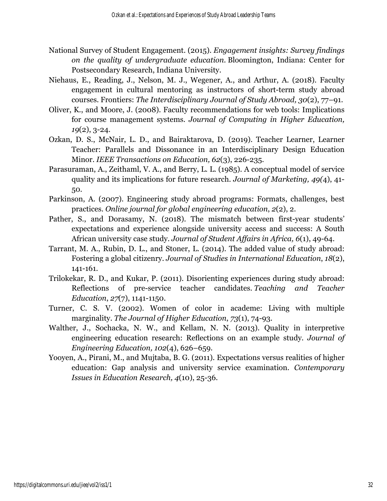- National Survey of Student Engagement. (2015). *Engagement insights: Survey findings on the quality of undergraduate education*. Bloomington, Indiana: Center for Postsecondary Research, Indiana University.
- Niehaus, E., Reading, J., Nelson, M. J., Wegener, A., and Arthur, A. (2018). Faculty engagement in cultural mentoring as instructors of short-term study abroad courses. Frontiers: *The Interdisciplinary Journal of Study Abroad, 30*(2), 77–91.
- Oliver, K., and Moore, J. (2008). Faculty recommendations for web tools: Implications for course management systems. *Journal of Computing in Higher Education, 19*(2), 3-24.
- Ozkan, D. S., McNair, L. D., and Bairaktarova, D. (2019). Teacher Learner, Learner Teacher: Parallels and Dissonance in an Interdisciplinary Design Education Minor. *IEEE Transactions on Education, 62*(3), 226-235.
- Parasuraman, A., Zeithaml, V. A., and Berry, L. L. (1985). A conceptual model of service quality and its implications for future research. *Journal of Marketing, 49(*4), 41- 50.
- Parkinson, A. (2007). Engineering study abroad programs: Formats, challenges, best practices. *Online journal for global engineering education*, *2*(2), 2.
- Pather, S., and Dorasamy, N. (2018). The mismatch between first-year students' expectations and experience alongside university access and success: A South African university case study. *Journal of Student Affairs in Africa, 6*(1), 49-64.
- Tarrant, M. A., Rubin, D. L., and Stoner, L. (2014). The added value of study abroad: Fostering a global citizenry. *Journal of Studies in International Education*, *18*(2), 141-161.
- Trilokekar, R. D., and Kukar, P. (2011). Disorienting experiences during study abroad: Reflections of pre-service teacher candidates. *Teaching and Teacher Education*, *27*(7), 1141-1150.
- Turner, C. S. V. (2002). Women of color in academe: Living with multiple marginality. *The Journal of Higher Education*, *73*(1), 74-93.
- Walther, J., Sochacka, N. W., and Kellam, N. N. (2013). Quality in interpretive engineering education research: Reflections on an example study. *Journal of Engineering Education, 102*(4), 626–659.
- Yooyen, A., Pirani, M., and Mujtaba, B. G. (2011). Expectations versus realities of higher education: Gap analysis and university service examination. *Contemporary Issues in Education Research, 4*(10), 25-36.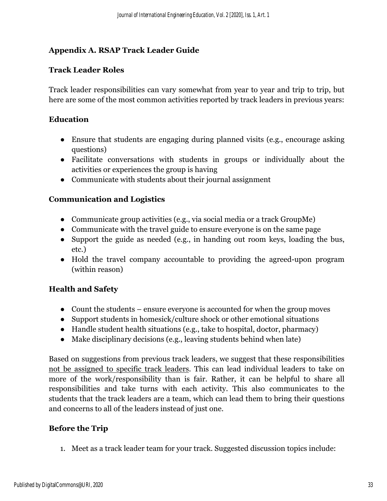# **Appendix A. RSAP Track Leader Guide**

# **Track Leader Roles**

Track leader responsibilities can vary somewhat from year to year and trip to trip, but here are some of the most common activities reported by track leaders in previous years:

# **Education**

- Ensure that students are engaging during planned visits (e.g., encourage asking questions)
- Facilitate conversations with students in groups or individually about the activities or experiences the group is having
- Communicate with students about their journal assignment

# **Communication and Logistics**

- Communicate group activities (e.g., via social media or a track GroupMe)
- Communicate with the travel guide to ensure everyone is on the same page
- Support the guide as needed (e.g., in handing out room keys, loading the bus, etc.)
- Hold the travel company accountable to providing the agreed-upon program (within reason)

# **Health and Safety**

- Count the students ensure everyone is accounted for when the group moves
- Support students in homesick/culture shock or other emotional situations
- Handle student health situations (e.g., take to hospital, doctor, pharmacy)
- Make disciplinary decisions (e.g., leaving students behind when late)

Based on suggestions from previous track leaders, we suggest that these responsibilities not be assigned to specific track leaders. This can lead individual leaders to take on more of the work/responsibility than is fair. Rather, it can be helpful to share all responsibilities and take turns with each activity. This also communicates to the students that the track leaders are a team, which can lead them to bring their questions and concerns to all of the leaders instead of just one.

# **Before the Trip**

1. Meet as a track leader team for your track. Suggested discussion topics include: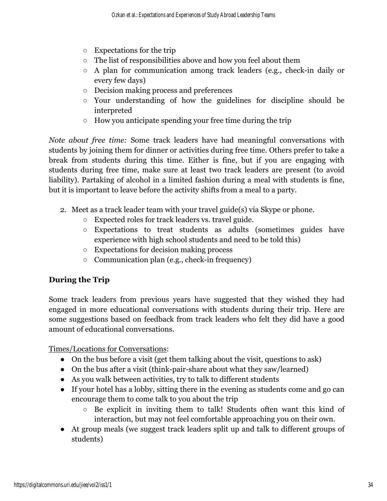- Expectations for the trip
- The list of responsibilities above and how you feel about them
- A plan for communication among track leaders (e.g., check-in daily or every few days)
- Decision making process and preferences
- Your understanding of how the guidelines for discipline should be interpreted
- How you anticipate spending your free time during the trip

*Note about free time:* Some track leaders have had meaningful conversations with students by joining them for dinner or activities during free time. Others prefer to take a break from students during this time. Either is fine, but if you are engaging with students during free time, make sure at least two track leaders are present (to avoid liability). Partaking of alcohol in a limited fashion during a meal with students is fine, but it is important to leave before the activity shifts from a meal to a party.

- 2. Meet as a track leader team with your travel guide(s) via Skype or phone.
	- Expected roles for track leaders vs. travel guide.
	- Expectations to treat students as adults (sometimes guides have experience with high school students and need to be told this)
	- Expectations for decision making process
	- Communication plan (e.g., check-in frequency)

# **During the Trip**

Some track leaders from previous years have suggested that they wished they had engaged in more educational conversations with students during their trip. Here are some suggestions based on feedback from track leaders who felt they did have a good amount of educational conversations.

Times/Locations for Conversations:

- On the bus before a visit (get them talking about the visit, questions to ask)
- On the bus after a visit (think-pair-share about what they saw/learned)
- As you walk between activities, try to talk to different students
- If your hotel has a lobby, sitting there in the evening as students come and go can encourage them to come talk to you about the trip
	- Be explicit in inviting them to talk! Students often want this kind of interaction, but may not feel comfortable approaching you on their own.
- At group meals (we suggest track leaders split up and talk to different groups of students)